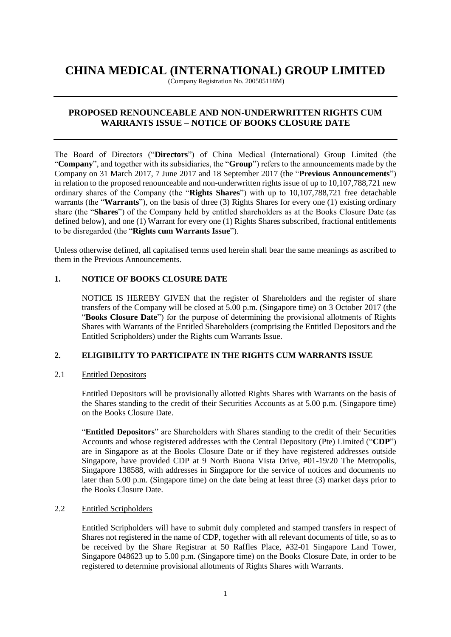# **CHINA MEDICAL (INTERNATIONAL) GROUP LIMITED**

(Company Registration No. 200505118M)

# **PROPOSED RENOUNCEABLE AND NON-UNDERWRITTEN RIGHTS CUM WARRANTS ISSUE – NOTICE OF BOOKS CLOSURE DATE**

The Board of Directors ("**Directors**") of China Medical (International) Group Limited (the "**Company**", and together with its subsidiaries, the "**Group**") refers to the announcements made by the Company on 31 March 2017, 7 June 2017 and 18 September 2017 (the "**Previous Announcements**") in relation to the proposed renounceable and non-underwritten rights issue of up to 10,107,788,721 new ordinary shares of the Company (the "**Rights Shares**") with up to 10,107,788,721 free detachable warrants (the "**Warrants**"), on the basis of three (3) Rights Shares for every one (1) existing ordinary share (the "**Shares**") of the Company held by entitled shareholders as at the Books Closure Date (as defined below), and one (1) Warrant for every one (1) Rights Shares subscribed, fractional entitlements to be disregarded (the "**Rights cum Warrants Issue**").

Unless otherwise defined, all capitalised terms used herein shall bear the same meanings as ascribed to them in the Previous Announcements.

# **1. NOTICE OF BOOKS CLOSURE DATE**

NOTICE IS HEREBY GIVEN that the register of Shareholders and the register of share transfers of the Company will be closed at 5.00 p.m. (Singapore time) on 3 October 2017 (the "**Books Closure Date**") for the purpose of determining the provisional allotments of Rights Shares with Warrants of the Entitled Shareholders (comprising the Entitled Depositors and the Entitled Scripholders) under the Rights cum Warrants Issue.

## **2. ELIGIBILITY TO PARTICIPATE IN THE RIGHTS CUM WARRANTS ISSUE**

2.1 Entitled Depositors

Entitled Depositors will be provisionally allotted Rights Shares with Warrants on the basis of the Shares standing to the credit of their Securities Accounts as at 5.00 p.m. (Singapore time) on the Books Closure Date.

"**Entitled Depositors**" are Shareholders with Shares standing to the credit of their Securities Accounts and whose registered addresses with the Central Depository (Pte) Limited ("**CDP**") are in Singapore as at the Books Closure Date or if they have registered addresses outside Singapore, have provided CDP at 9 North Buona Vista Drive, #01-19/20 The Metropolis, Singapore 138588, with addresses in Singapore for the service of notices and documents no later than 5.00 p.m. (Singapore time) on the date being at least three (3) market days prior to the Books Closure Date.

# 2.2 Entitled Scripholders

Entitled Scripholders will have to submit duly completed and stamped transfers in respect of Shares not registered in the name of CDP, together with all relevant documents of title, so as to be received by the Share Registrar at 50 Raffles Place, #32-01 Singapore Land Tower, Singapore 048623 up to 5.00 p.m. (Singapore time) on the Books Closure Date, in order to be registered to determine provisional allotments of Rights Shares with Warrants.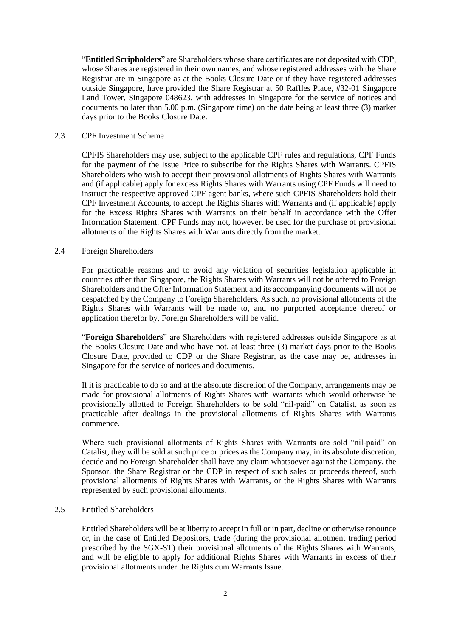"**Entitled Scripholders**" are Shareholders whose share certificates are not deposited with CDP, whose Shares are registered in their own names, and whose registered addresses with the Share Registrar are in Singapore as at the Books Closure Date or if they have registered addresses outside Singapore, have provided the Share Registrar at 50 Raffles Place, #32-01 Singapore Land Tower, Singapore 048623, with addresses in Singapore for the service of notices and documents no later than 5.00 p.m. (Singapore time) on the date being at least three (3) market days prior to the Books Closure Date.

#### 2.3 CPF Investment Scheme

CPFIS Shareholders may use, subject to the applicable CPF rules and regulations, CPF Funds for the payment of the Issue Price to subscribe for the Rights Shares with Warrants. CPFIS Shareholders who wish to accept their provisional allotments of Rights Shares with Warrants and (if applicable) apply for excess Rights Shares with Warrants using CPF Funds will need to instruct the respective approved CPF agent banks, where such CPFIS Shareholders hold their CPF Investment Accounts, to accept the Rights Shares with Warrants and (if applicable) apply for the Excess Rights Shares with Warrants on their behalf in accordance with the Offer Information Statement. CPF Funds may not, however, be used for the purchase of provisional allotments of the Rights Shares with Warrants directly from the market.

#### 2.4 Foreign Shareholders

For practicable reasons and to avoid any violation of securities legislation applicable in countries other than Singapore, the Rights Shares with Warrants will not be offered to Foreign Shareholders and the Offer Information Statement and its accompanying documents will not be despatched by the Company to Foreign Shareholders. As such, no provisional allotments of the Rights Shares with Warrants will be made to, and no purported acceptance thereof or application therefor by, Foreign Shareholders will be valid.

"**Foreign Shareholders**" are Shareholders with registered addresses outside Singapore as at the Books Closure Date and who have not, at least three (3) market days prior to the Books Closure Date, provided to CDP or the Share Registrar, as the case may be, addresses in Singapore for the service of notices and documents.

If it is practicable to do so and at the absolute discretion of the Company, arrangements may be made for provisional allotments of Rights Shares with Warrants which would otherwise be provisionally allotted to Foreign Shareholders to be sold "nil-paid" on Catalist, as soon as practicable after dealings in the provisional allotments of Rights Shares with Warrants commence.

Where such provisional allotments of Rights Shares with Warrants are sold "nil-paid" on Catalist, they will be sold at such price or prices as the Company may, in its absolute discretion, decide and no Foreign Shareholder shall have any claim whatsoever against the Company, the Sponsor, the Share Registrar or the CDP in respect of such sales or proceeds thereof, such provisional allotments of Rights Shares with Warrants, or the Rights Shares with Warrants represented by such provisional allotments.

## 2.5 Entitled Shareholders

Entitled Shareholders will be at liberty to accept in full or in part, decline or otherwise renounce or, in the case of Entitled Depositors, trade (during the provisional allotment trading period prescribed by the SGX-ST) their provisional allotments of the Rights Shares with Warrants, and will be eligible to apply for additional Rights Shares with Warrants in excess of their provisional allotments under the Rights cum Warrants Issue.